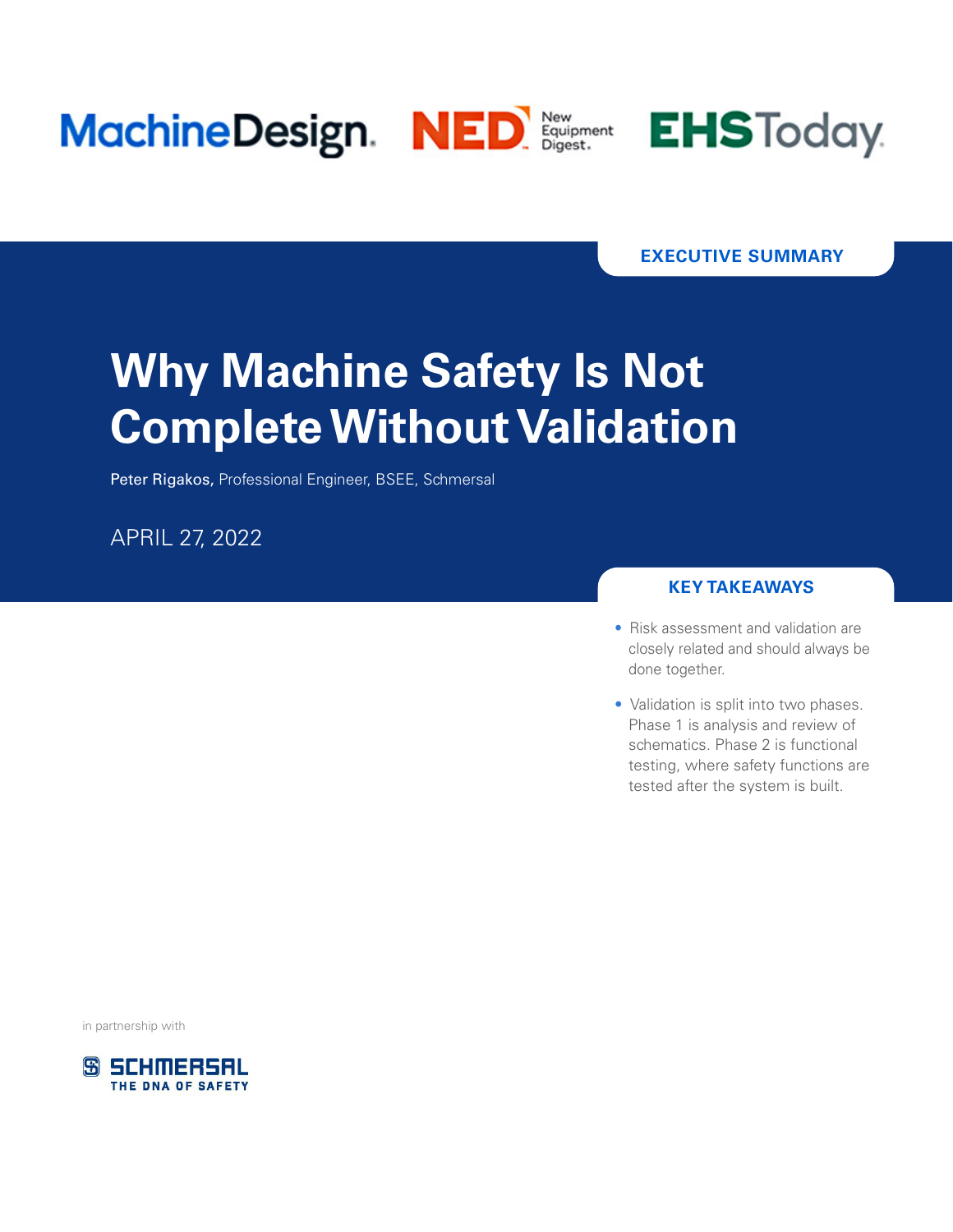



#### **EXECUTIVE SUMMARY**

# **Why Machine Safety Is Not Complete Without Validation**

Peter Rigakos, Professional Engineer, BSEE, Schmersal

APRIL 27, 2022

#### **KEY TAKEAWAYS**

- Risk assessment and validation are closely related and should always be done together.
- Validation is split into two phases. Phase 1 is analysis and review of schematics. Phase 2 is functional testing, where safety functions are tested after the system is built.

in partnership with

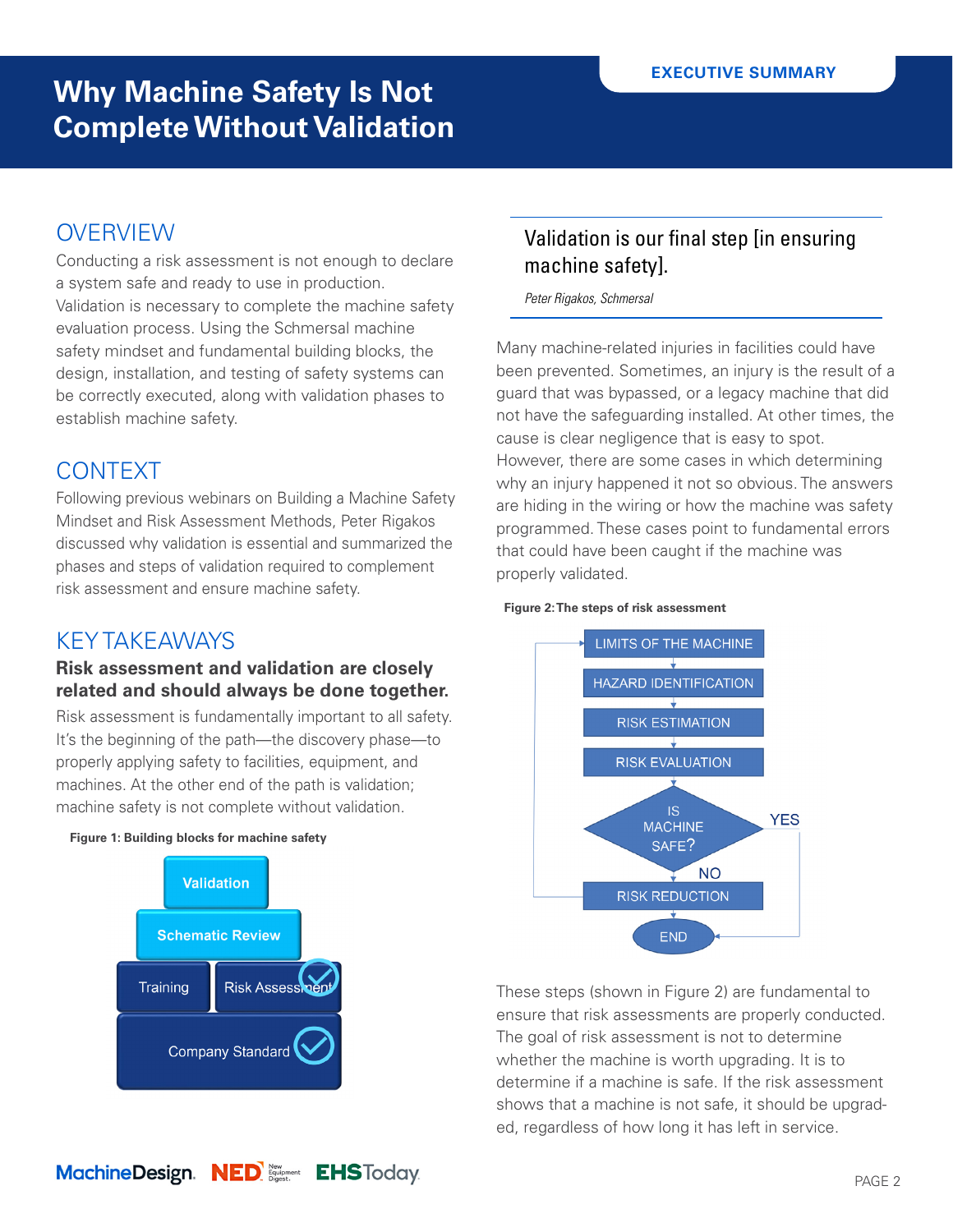### **OVERVIEW**

Conducting a risk assessment is not enough to declare a system safe and ready to use in production. Validation is necessary to complete the machine safety evaluation process. Using the Schmersal machine safety mindset and fundamental building blocks, the design, installation, and testing of safety systems can be correctly executed, along with validation phases to establish machine safety.

## **CONTEXT**

Following previous webinars on Building a Machine Safety Mindset and Risk Assessment Methods, Peter Rigakos discussed why validation is essential and summarized the phases and steps of validation required to complement risk assessment and ensure machine safety.

### KEY TAKEAWAYS

#### **Risk assessment and validation are closely related and should always be done together.**

Risk assessment is fundamentally important to all safety. It's the beginning of the path—the discovery phase—to properly applying safety to facilities, equipment, and machines. At the other end of the path is validation; machine safety is not complete without validation.

#### **Figure 1: Building blocks for machine safety**



#### Validation is our final step [in ensuring machine safety].

*Peter Rigakos, Schmersal*

Many machine-related injuries in facilities could have been prevented. Sometimes, an injury is the result of a guard that was bypassed, or a legacy machine that did not have the safeguarding installed. At other times, the cause is clear negligence that is easy to spot. However, there are some cases in which determining why an injury happened it not so obvious. The answers are hiding in the wiring or how the machine was safety programmed. These cases point to fundamental errors that could have been caught if the machine was properly validated.





These steps (shown in Figure 2) are fundamental to ensure that risk assessments are properly conducted. The goal of risk assessment is not to determine whether the machine is worth upgrading. It is to determine if a machine is safe. If the risk assessment shows that a machine is not safe, it should be upgraded, regardless of how long it has left in service.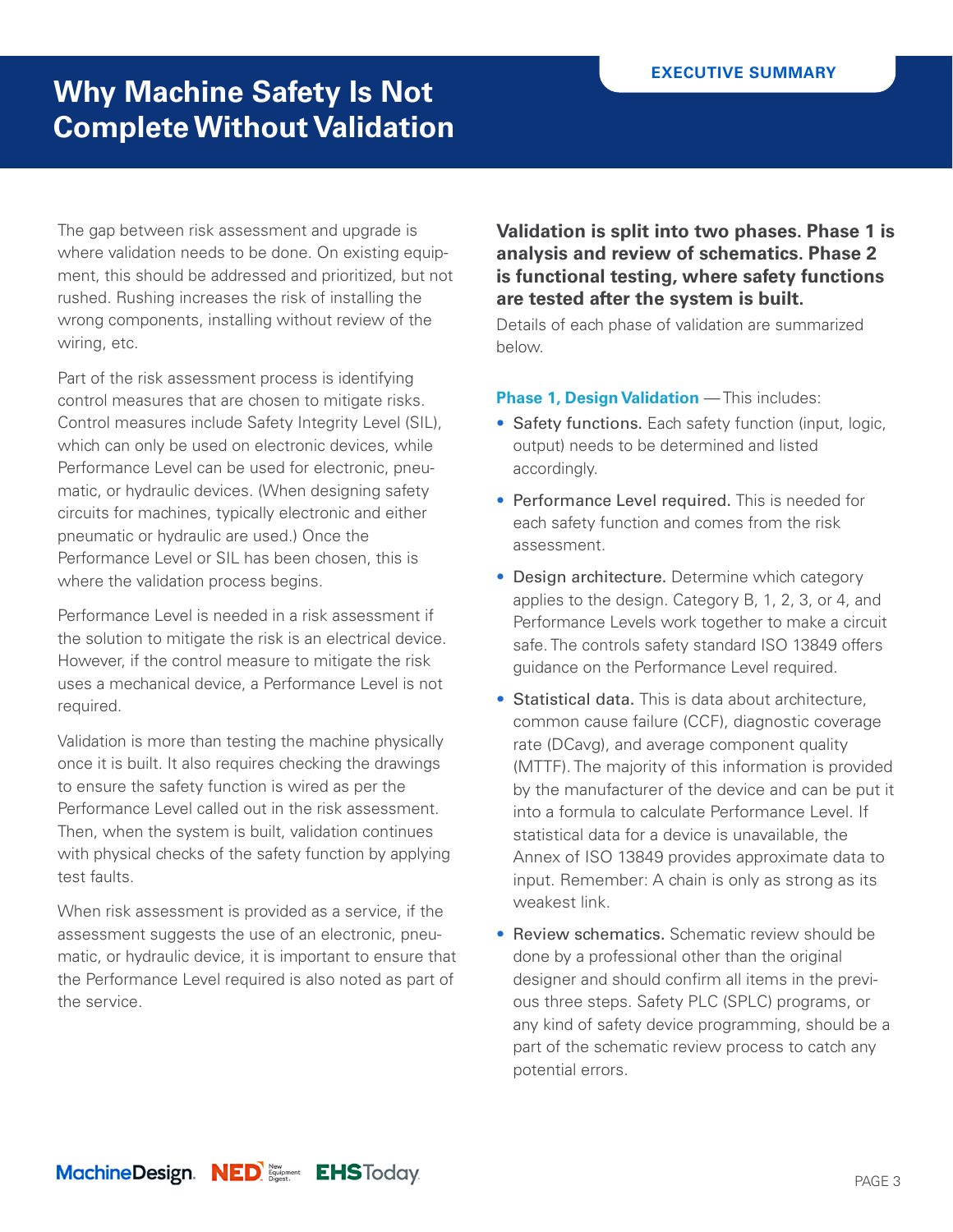The gap between risk assessment and upgrade is where validation needs to be done. On existing equipment, this should be addressed and prioritized, but not rushed. Rushing increases the risk of installing the wrong components, installing without review of the wiring, etc.

Part of the risk assessment process is identifying control measures that are chosen to mitigate risks. Control measures include Safety Integrity Level (SIL), which can only be used on electronic devices, while Performance Level can be used for electronic, pneumatic, or hydraulic devices. (When designing safety circuits for machines, typically electronic and either pneumatic or hydraulic are used.) Once the Performance Level or SIL has been chosen, this is where the validation process begins.

Performance Level is needed in a risk assessment if the solution to mitigate the risk is an electrical device. However, if the control measure to mitigate the risk uses a mechanical device, a Performance Level is not required.

Validation is more than testing the machine physically once it is built. It also requires checking the drawings to ensure the safety function is wired as per the Performance Level called out in the risk assessment. Then, when the system is built, validation continues with physical checks of the safety function by applying test faults.

When risk assessment is provided as a service, if the assessment suggests the use of an electronic, pneumatic, or hydraulic device, it is important to ensure that the Performance Level required is also noted as part of the service.

**Validation is split into two phases. Phase 1 is analysis and review of schematics. Phase 2 is functional testing, where safety functions are tested after the system is built.**

Details of each phase of validation are summarized below.

**Phase 1, Design Validation** — This includes:

- Safety functions. Each safety function (input, logic, output) needs to be determined and listed accordingly.
- Performance Level required. This is needed for each safety function and comes from the risk assessment.
- Design architecture. Determine which category applies to the design. Category B, 1, 2, 3, or 4, and Performance Levels work together to make a circuit safe. The controls safety standard ISO 13849 offers guidance on the Performance Level required.
- Statistical data. This is data about architecture, common cause failure (CCF), diagnostic coverage rate (DCavg), and average component quality (MTTF). The majority of this information is provided by the manufacturer of the device and can be put it into a formula to calculate Performance Level. If statistical data for a device is unavailable, the Annex of ISO 13849 provides approximate data to input. Remember: A chain is only as strong as its weakest link.
- Review schematics. Schematic review should be done by a professional other than the original designer and should confirm all items in the previous three steps. Safety PLC (SPLC) programs, or any kind of safety device programming, should be a part of the schematic review process to catch any potential errors.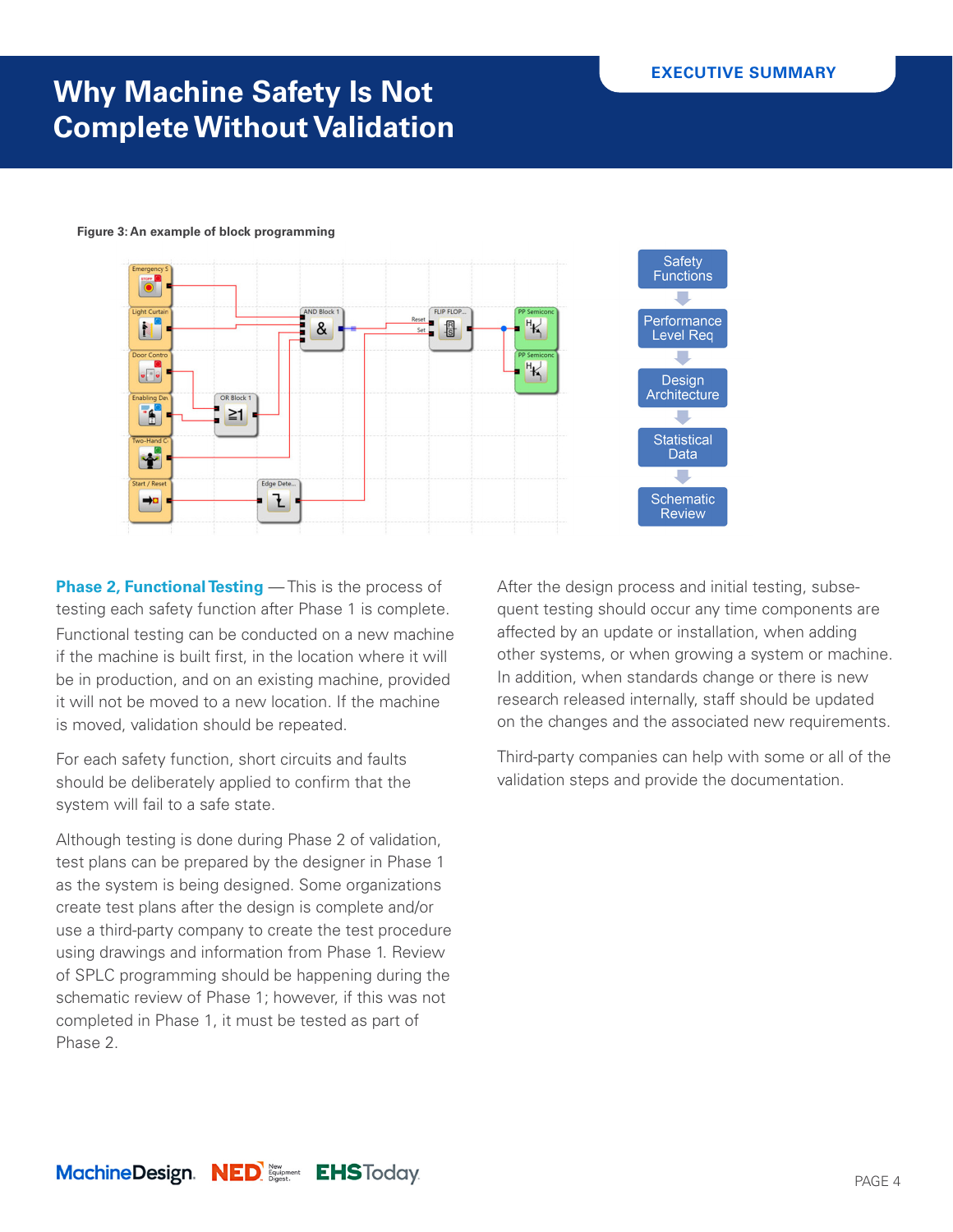

**Figure 3: An example of block programming**

**Phase 2, Functional Testing** — This is the process of testing each safety function after Phase 1 is complete. Functional testing can be conducted on a new machine if the machine is built first, in the location where it will be in production, and on an existing machine, provided it will not be moved to a new location. If the machine is moved, validation should be repeated.

For each safety function, short circuits and faults should be deliberately applied to confirm that the system will fail to a safe state.

Although testing is done during Phase 2 of validation, test plans can be prepared by the designer in Phase 1 as the system is being designed. Some organizations create test plans after the design is complete and/or use a third-party company to create the test procedure using drawings and information from Phase 1. Review of SPLC programming should be happening during the schematic review of Phase 1; however, if this was not completed in Phase 1, it must be tested as part of Phase 2.

After the design process and initial testing, subsequent testing should occur any time components are affected by an update or installation, when adding other systems, or when growing a system or machine. In addition, when standards change or there is new research released internally, staff should be updated on the changes and the associated new requirements.

Third-party companies can help with some or all of the validation steps and provide the documentation.